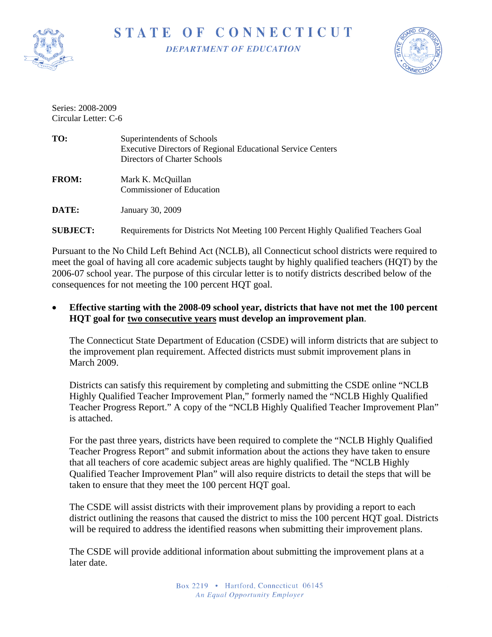

STATE OF CONNECTICUT **DEPARTMENT OF EDUCATION** 



Series: 2008-2009 Circular Letter: C-6

| TO:             | Superintendents of Schools<br><b>Executive Directors of Regional Educational Service Centers</b><br>Directors of Charter Schools |
|-----------------|----------------------------------------------------------------------------------------------------------------------------------|
| <b>FROM:</b>    | Mark K. McQuillan<br><b>Commissioner of Education</b>                                                                            |
| DATE:           | January 30, 2009                                                                                                                 |
| <b>SUBJECT:</b> | Requirements for Districts Not Meeting 100 Percent Highly Qualified Teachers Goal                                                |

Pursuant to the No Child Left Behind Act (NCLB), all Connecticut school districts were required to meet the goal of having all core academic subjects taught by highly qualified teachers (HQT) by the 2006-07 school year. The purpose of this circular letter is to notify districts described below of the consequences for not meeting the 100 percent HQT goal.

• **Effective starting with the 2008-09 school year, districts that have not met the 100 percent HQT goal for two consecutive years must develop an improvement plan**.

The Connecticut State Department of Education (CSDE) will inform districts that are subject to the improvement plan requirement. Affected districts must submit improvement plans in March 2009.

Districts can satisfy this requirement by completing and submitting the CSDE online "NCLB Highly Qualified Teacher Improvement Plan," formerly named the "NCLB Highly Qualified Teacher Progress Report." A copy of the "NCLB Highly Qualified Teacher Improvement Plan" is attached.

For the past three years, districts have been required to complete the "NCLB Highly Qualified Teacher Progress Report" and submit information about the actions they have taken to ensure that all teachers of core academic subject areas are highly qualified. The "NCLB Highly Qualified Teacher Improvement Plan" will also require districts to detail the steps that will be taken to ensure that they meet the 100 percent HQT goal.

The CSDE will assist districts with their improvement plans by providing a report to each district outlining the reasons that caused the district to miss the 100 percent HQT goal. Districts will be required to address the identified reasons when submitting their improvement plans.

The CSDE will provide additional information about submitting the improvement plans at a later date.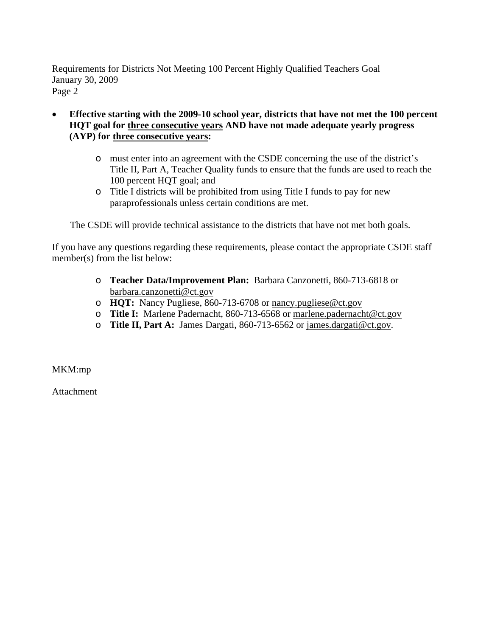Requirements for Districts Not Meeting 100 Percent Highly Qualified Teachers Goal January 30, 2009 Page 2

- **Effective starting with the 2009-10 school year, districts that have not met the 100 percent HQT goal for three consecutive years AND have not made adequate yearly progress (AYP) for three consecutive years:** 
	- o must enter into an agreement with the CSDE concerning the use of the district's Title II, Part A, Teacher Quality funds to ensure that the funds are used to reach the 100 percent HQT goal; and
	- o Title I districts will be prohibited from using Title I funds to pay for new paraprofessionals unless certain conditions are met.

The CSDE will provide technical assistance to the districts that have not met both goals.

If you have any questions regarding these requirements, please contact the appropriate CSDE staff member(s) from the list below:

- o **Teacher Data/Improvement Plan:** Barbara Canzonetti, 860-713-6818 or [barbara.canzonetti@ct.gov](mailto:barbara.canzonetti@ct.gov)
- o **HQT:** Nancy Pugliese, 860-713-6708 or [nancy.pugliese@ct.gov](mailto:nancy.puglies@ct.gov)
- o **Title I:** Marlene Padernacht, 860-713-6568 or [marlene.padernacht@ct.gov](mailto:marlene.padernacht@ct.gov)
- o **Title II, Part A:** James Dargati, 860-713-6562 or [james.dargati@ct.gov.](mailto:james.dargati@ct.gov)

MKM:mp

**Attachment**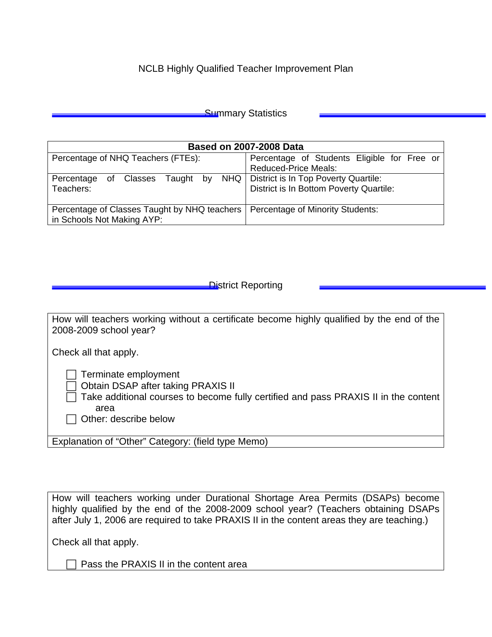## NCLB Highly Qualified Teacher Improvement Plan

| <b>Summary Statistics</b> |  |
|---------------------------|--|
|---------------------------|--|

| <b>Based on 2007-2008 Data</b>                 |                                             |  |  |  |  |
|------------------------------------------------|---------------------------------------------|--|--|--|--|
| Percentage of NHQ Teachers (FTEs):             | Percentage of Students Eligible for Free or |  |  |  |  |
|                                                | <b>Reduced-Price Meals:</b>                 |  |  |  |  |
| NHQ  <br>Taught by<br>Percentage<br>of Classes | District is In Top Poverty Quartile:        |  |  |  |  |
| Teachers:                                      | District is In Bottom Poverty Quartile:     |  |  |  |  |
|                                                |                                             |  |  |  |  |
| Percentage of Classes Taught by NHQ teachers   | <b>Percentage of Minority Students:</b>     |  |  |  |  |
| in Schools Not Making AYP:                     |                                             |  |  |  |  |

## **District Reporting**

| How will teachers working without a certificate become highly qualified by the end of the<br>2008-2009 school year?                                                                |  |  |
|------------------------------------------------------------------------------------------------------------------------------------------------------------------------------------|--|--|
| Check all that apply.                                                                                                                                                              |  |  |
| Terminate employment<br>Obtain DSAP after taking PRAXIS II<br>Take additional courses to become fully certified and pass PRAXIS II in the content<br>area<br>Other: describe below |  |  |
| Explanation of "Other" Category: (field type Memo)                                                                                                                                 |  |  |

How will teachers working under Durational Shortage Area Permits (DSAPs) become highly qualified by the end of the 2008-2009 school year? (Teachers obtaining DSAPs after July 1, 2006 are required to take PRAXIS II in the content areas they are teaching.)

Check all that apply.

 $\Box$  Pass the PRAXIS II in the content area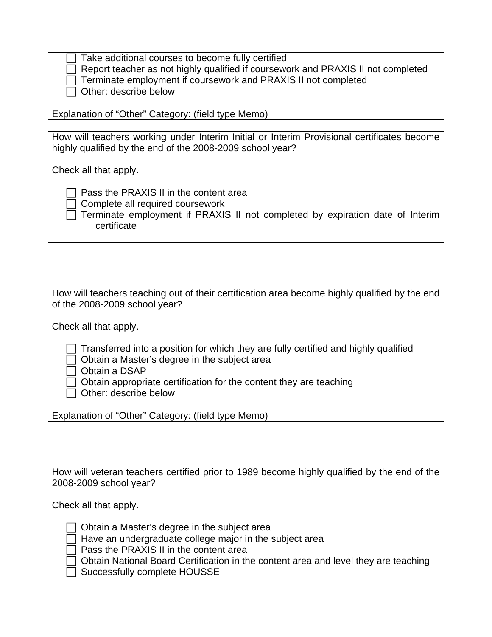| $\Box$ Take additional courses to become fully certified                                |
|-----------------------------------------------------------------------------------------|
| $\Box$ Report teacher as not highly qualified if coursework and PRAXIS II not completed |
| Terminate employment if coursework and PRAXIS II not completed                          |
| $\Box$ Other: describe below                                                            |

Explanation of "Other" Category: (field type Memo)

How will teachers working under Interim Initial or Interim Provisional certificates become highly qualified by the end of the 2008-2009 school year?

Check all that apply.

 $\Box$  Pass the PRAXIS II in the content area

**Complete all required coursework** 

 $\overline{\Box}$  Terminate employment if PRAXIS II not completed by expiration date of Interim certificate

| How will teachers teaching out of their certification area become highly qualified by the end<br>of the 2008-2009 school year?                                                                                                                             |  |  |
|------------------------------------------------------------------------------------------------------------------------------------------------------------------------------------------------------------------------------------------------------------|--|--|
| Check all that apply.                                                                                                                                                                                                                                      |  |  |
| $\Box$ Transferred into a position for which they are fully certified and highly qualified<br>Obtain a Master's degree in the subject area<br>Obtain a DSAP<br>Obtain appropriate certification for the content they are teaching<br>Other: describe below |  |  |

Explanation of "Other" Category: (field type Memo)

How will veteran teachers certified prior to 1989 become highly qualified by the end of the 2008-2009 school year?

Check all that apply.

 $\Box$  Obtain a Master's degree in the subject area

 $\Box$  Have an undergraduate college major in the subject area

 $\exists$  Pass the PRAXIS II in the content area

Obtain National Board Certification in the content area and level they are teaching

F Successfully complete HOUSSE